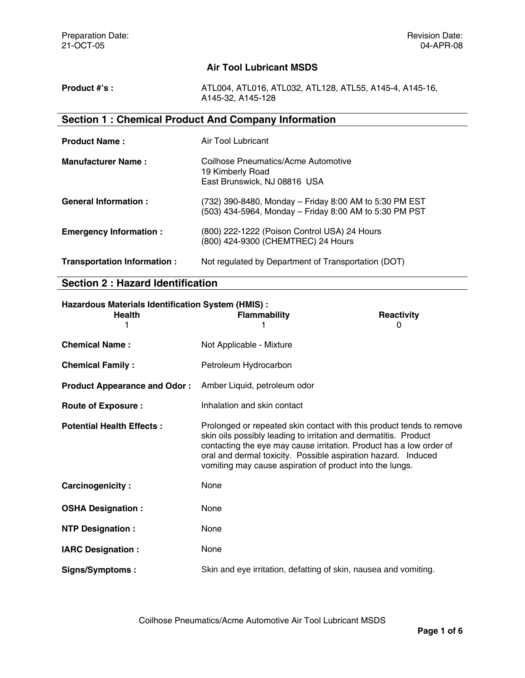# **Air Tool Lubricant MSDS**

| Product #'s : | ATL004, ATL016, ATL032, ATL128, ATL55, A145-4, A145-16, |
|---------------|---------------------------------------------------------|
|               | A145-32, A145-128                                       |

# **Section 1 : Chemical Product And Company Information**

| <b>Product Name:</b>          | Air Tool Lubricant                                                                                               |
|-------------------------------|------------------------------------------------------------------------------------------------------------------|
| <b>Manufacturer Name:</b>     | Coilhose Pneumatics/Acme Automotive<br>19 Kimberly Road<br>East Brunswick, NJ 08816 USA                          |
| <b>General Information:</b>   | (732) 390-8480, Monday - Friday 8:00 AM to 5:30 PM EST<br>(503) 434-5964, Monday - Friday 8:00 AM to 5:30 PM PST |
| <b>Emergency Information:</b> | (800) 222-1222 (Poison Control USA) 24 Hours<br>(800) 424-9300 (CHEMTREC) 24 Hours                               |
| Transportation Information :  | Not regulated by Department of Transportation (DOT)                                                              |

# **Section 2 : Hazard Identification**

| Hazardous Materials Identification System (HMIS) :<br><b>Health</b> | <b>Flammability</b>                                                                                                                                                                                                                                                                                                                          | <b>Reactivity</b><br>0 |
|---------------------------------------------------------------------|----------------------------------------------------------------------------------------------------------------------------------------------------------------------------------------------------------------------------------------------------------------------------------------------------------------------------------------------|------------------------|
| <b>Chemical Name:</b>                                               | Not Applicable - Mixture                                                                                                                                                                                                                                                                                                                     |                        |
| <b>Chemical Family:</b>                                             | Petroleum Hydrocarbon                                                                                                                                                                                                                                                                                                                        |                        |
| <b>Product Appearance and Odor:</b>                                 | Amber Liquid, petroleum odor                                                                                                                                                                                                                                                                                                                 |                        |
| <b>Route of Exposure:</b>                                           | Inhalation and skin contact                                                                                                                                                                                                                                                                                                                  |                        |
| <b>Potential Health Effects:</b>                                    | Prolonged or repeated skin contact with this product tends to remove<br>skin oils possibly leading to irritation and dermatitis. Product<br>contacting the eye may cause irritation. Product has a low order of<br>oral and dermal toxicity. Possible aspiration hazard. Induced<br>vomiting may cause aspiration of product into the lungs. |                        |
| Carcinogenicity:                                                    | None                                                                                                                                                                                                                                                                                                                                         |                        |
| <b>OSHA Designation:</b>                                            | None                                                                                                                                                                                                                                                                                                                                         |                        |
| <b>NTP Designation:</b>                                             | None                                                                                                                                                                                                                                                                                                                                         |                        |
| <b>IARC Designation:</b>                                            | None                                                                                                                                                                                                                                                                                                                                         |                        |
| <b>Signs/Symptoms:</b>                                              | Skin and eye irritation, defatting of skin, nausea and vomiting.                                                                                                                                                                                                                                                                             |                        |

Coilhose Pneumatics/Acme Automotive Air Tool Lubricant MSDS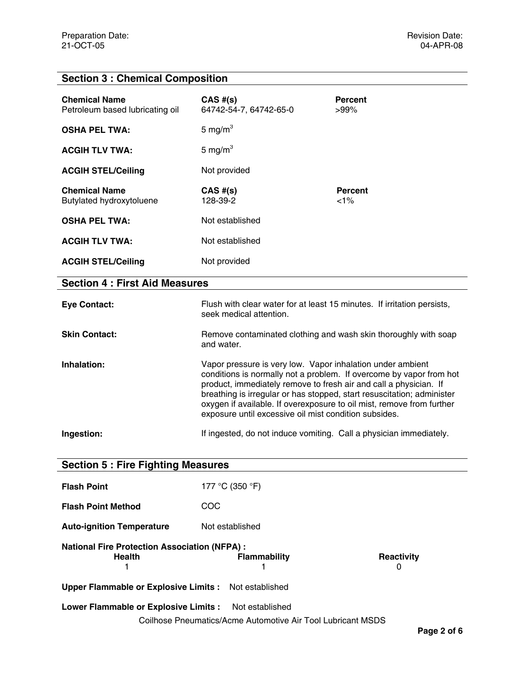# **Section 3 : Chemical Composition**

| <b>Chemical Name</b><br>Petroleum based lubricating oil            | $CAS$ #(s)<br>64742-54-7, 64742-65-0                                                                                                                                                                                                                                                                                                        | <b>Percent</b><br>$>99\%$                                           |
|--------------------------------------------------------------------|---------------------------------------------------------------------------------------------------------------------------------------------------------------------------------------------------------------------------------------------------------------------------------------------------------------------------------------------|---------------------------------------------------------------------|
| <b>OSHA PEL TWA:</b>                                               | 5 mg/m $3$                                                                                                                                                                                                                                                                                                                                  |                                                                     |
| <b>ACGIH TLV TWA:</b>                                              | 5 mg/m $3$                                                                                                                                                                                                                                                                                                                                  |                                                                     |
| <b>ACGIH STEL/Ceiling</b>                                          | Not provided                                                                                                                                                                                                                                                                                                                                |                                                                     |
| <b>Chemical Name</b><br>Butylated hydroxytoluene                   | $CAS$ #(s)<br>128-39-2                                                                                                                                                                                                                                                                                                                      | <b>Percent</b><br>$< 1\%$                                           |
| <b>OSHA PEL TWA:</b>                                               | Not established                                                                                                                                                                                                                                                                                                                             |                                                                     |
| <b>ACGIH TLV TWA:</b>                                              | Not established                                                                                                                                                                                                                                                                                                                             |                                                                     |
| <b>ACGIH STEL/Ceiling</b>                                          | Not provided                                                                                                                                                                                                                                                                                                                                |                                                                     |
| <b>Section 4: First Aid Measures</b>                               |                                                                                                                                                                                                                                                                                                                                             |                                                                     |
| <b>Eye Contact:</b>                                                | Flush with clear water for at least 15 minutes. If irritation persists,<br>seek medical attention.                                                                                                                                                                                                                                          |                                                                     |
| <b>Skin Contact:</b>                                               | Remove contaminated clothing and wash skin thoroughly with soap<br>and water.                                                                                                                                                                                                                                                               |                                                                     |
| Inhalation:                                                        | Vapor pressure is very low. Vapor inhalation under ambient<br>product, immediately remove to fresh air and call a physician. If<br>breathing is irregular or has stopped, start resuscitation; administer<br>oxygen if available. If overexposure to oil mist, remove from further<br>exposure until excessive oil mist condition subsides. | conditions is normally not a problem. If overcome by vapor from hot |
| Ingestion:                                                         | If ingested, do not induce vomiting. Call a physician immediately.                                                                                                                                                                                                                                                                          |                                                                     |
| <b>Section 5: Fire Fighting Measures</b>                           |                                                                                                                                                                                                                                                                                                                                             |                                                                     |
| <b>Flash Point</b>                                                 | 177 °C (350 °F)                                                                                                                                                                                                                                                                                                                             |                                                                     |
| <b>Flash Point Method</b>                                          | COC                                                                                                                                                                                                                                                                                                                                         |                                                                     |
| <b>Auto-ignition Temperature</b>                                   | Not established                                                                                                                                                                                                                                                                                                                             |                                                                     |
| <b>National Fire Protection Association (NFPA):</b><br>Health<br>1 | <b>Flammability</b><br>1                                                                                                                                                                                                                                                                                                                    | Reactivity<br>0                                                     |
| <b>Upper Flammable or Explosive Limits:</b>                        | Not established                                                                                                                                                                                                                                                                                                                             |                                                                     |
| Lower Flammable or Explosive Limits :<br>Not established           |                                                                                                                                                                                                                                                                                                                                             |                                                                     |
| Coilhose Pneumatics/Acme Automotive Air Tool Lubricant MSDS        |                                                                                                                                                                                                                                                                                                                                             |                                                                     |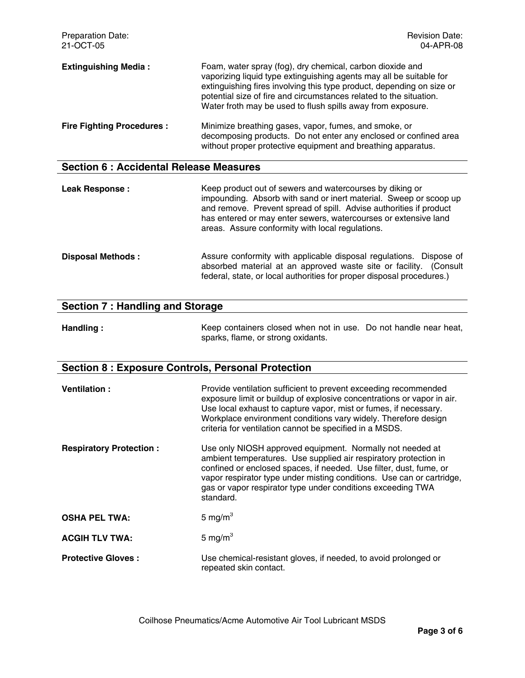| <b>Preparation Date:</b><br>21-OCT-05         | <b>Revision Date:</b><br>04-APR-08                                                                                                                                                                                                                                                                                                             |
|-----------------------------------------------|------------------------------------------------------------------------------------------------------------------------------------------------------------------------------------------------------------------------------------------------------------------------------------------------------------------------------------------------|
| <b>Extinguishing Media:</b>                   | Foam, water spray (fog), dry chemical, carbon dioxide and<br>vaporizing liquid type extinguishing agents may all be suitable for<br>extinguishing fires involving this type product, depending on size or<br>potential size of fire and circumstances related to the situation.<br>Water froth may be used to flush spills away from exposure. |
| <b>Fire Fighting Procedures:</b>              | Minimize breathing gases, vapor, fumes, and smoke, or<br>decomposing products. Do not enter any enclosed or confined area<br>without proper protective equipment and breathing apparatus.                                                                                                                                                      |
| <b>Section 6: Accidental Release Measures</b> |                                                                                                                                                                                                                                                                                                                                                |

| <b>Leak Response:</b>    | Keep product out of sewers and watercourses by diking or<br>impounding. Absorb with sand or inert material. Sweep or scoop up<br>and remove. Prevent spread of spill. Advise authorities if product<br>has entered or may enter sewers, watercourses or extensive land<br>areas. Assure conformity with local regulations. |
|--------------------------|----------------------------------------------------------------------------------------------------------------------------------------------------------------------------------------------------------------------------------------------------------------------------------------------------------------------------|
| <b>Disposal Methods:</b> | Assure conformity with applicable disposal regulations. Dispose of<br>absorbed material at an approved waste site or facility. (Consult<br>federal, state, or local authorities for proper disposal procedures.)                                                                                                           |

| <b>Section 7: Handling and Storage</b> |                                                                  |  |
|----------------------------------------|------------------------------------------------------------------|--|
| Handling :                             | Keep containers closed when not in use. Do not handle near heat, |  |

sparks, flame, or strong oxidants.

# **Section 8 : Exposure Controls, Personal Protection**

| <b>Ventilation:</b>            | Provide ventilation sufficient to prevent exceeding recommended<br>exposure limit or buildup of explosive concentrations or vapor in air.<br>Use local exhaust to capture vapor, mist or fumes, if necessary.<br>Workplace environment conditions vary widely. Therefore design<br>criteria for ventilation cannot be specified in a MSDS.               |
|--------------------------------|----------------------------------------------------------------------------------------------------------------------------------------------------------------------------------------------------------------------------------------------------------------------------------------------------------------------------------------------------------|
| <b>Respiratory Protection:</b> | Use only NIOSH approved equipment. Normally not needed at<br>ambient temperatures. Use supplied air respiratory protection in<br>confined or enclosed spaces, if needed. Use filter, dust, fume, or<br>vapor respirator type under misting conditions. Use can or cartridge,<br>gas or vapor respirator type under conditions exceeding TWA<br>standard. |
| <b>OSHA PEL TWA:</b>           | 5 mg/m $3$                                                                                                                                                                                                                                                                                                                                               |
| <b>ACGIH TLV TWA:</b>          | 5 mg/ $m3$                                                                                                                                                                                                                                                                                                                                               |
| <b>Protective Gloves:</b>      | Use chemical-resistant gloves, if needed, to avoid prolonged or<br>repeated skin contact.                                                                                                                                                                                                                                                                |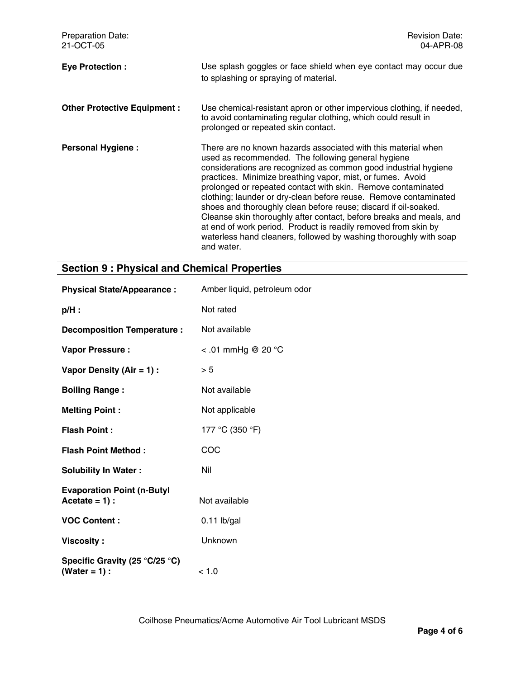| <b>Preparation Date:</b><br>21-OCT-05 | <b>Revision Date:</b><br>04-APR-08                                                                                                                                                                                                                                                                                                                                                                                                                                                                                                                                                                                                                                                      |
|---------------------------------------|-----------------------------------------------------------------------------------------------------------------------------------------------------------------------------------------------------------------------------------------------------------------------------------------------------------------------------------------------------------------------------------------------------------------------------------------------------------------------------------------------------------------------------------------------------------------------------------------------------------------------------------------------------------------------------------------|
| <b>Eye Protection:</b>                | Use splash goggles or face shield when eye contact may occur due<br>to splashing or spraying of material.                                                                                                                                                                                                                                                                                                                                                                                                                                                                                                                                                                               |
| <b>Other Protective Equipment:</b>    | Use chemical-resistant apron or other impervious clothing, if needed,<br>to avoid contaminating regular clothing, which could result in<br>prolonged or repeated skin contact.                                                                                                                                                                                                                                                                                                                                                                                                                                                                                                          |
| <b>Personal Hygiene:</b>              | There are no known hazards associated with this material when<br>used as recommended. The following general hygiene<br>considerations are recognized as common good industrial hygiene<br>practices. Minimize breathing vapor, mist, or fumes. Avoid<br>prolonged or repeated contact with skin. Remove contaminated<br>clothing; launder or dry-clean before reuse. Remove contaminated<br>shoes and thoroughly clean before reuse; discard if oil-soaked.<br>Cleanse skin thoroughly after contact, before breaks and meals, and<br>at end of work period. Product is readily removed from skin by<br>waterless hand cleaners, followed by washing thoroughly with soap<br>and water. |

#### **Section 9 : Physical and Chemical Properties**

| <b>Physical State/Appearance:</b>                     | Amber liquid, petroleum odor |
|-------------------------------------------------------|------------------------------|
| $p/H$ :                                               | Not rated                    |
| <b>Decomposition Temperature:</b>                     | Not available                |
| <b>Vapor Pressure:</b>                                | <.01 mmHg @ 20 $^{\circ}$ C  |
| Vapor Density (Air = 1) :                             | > 5                          |
| <b>Boiling Range:</b>                                 | Not available                |
| <b>Melting Point:</b>                                 | Not applicable               |
| <b>Flash Point:</b>                                   | 177 °C (350 °F)              |
| <b>Flash Point Method:</b>                            | COC                          |
| <b>Solubility In Water:</b>                           | Nil                          |
| <b>Evaporation Point (n-Butyl</b><br>$Accitate = 1$ : | Not available                |
| <b>VOC Content:</b>                                   | $0.11$ lb/gal                |
| Viscosity :                                           | Unknown                      |
| Specific Gravity (25 °C/25 °C)<br>$(Water = 1):$      | < 1.0                        |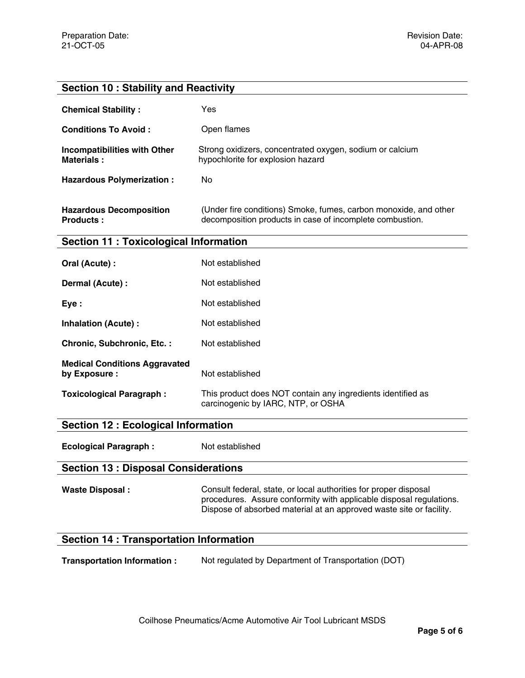# **Section 10 : Stability and Reactivity**

| <b>Chemical Stability:</b>                         | Yes                                                                                                                          |
|----------------------------------------------------|------------------------------------------------------------------------------------------------------------------------------|
| <b>Conditions To Avoid:</b>                        | Open flames                                                                                                                  |
| Incompatibilities with Other<br><b>Materials:</b>  | Strong oxidizers, concentrated oxygen, sodium or calcium<br>hypochlorite for explosion hazard                                |
| <b>Hazardous Polymerization:</b>                   | No.                                                                                                                          |
| <b>Hazardous Decomposition</b><br><b>Products:</b> | (Under fire conditions) Smoke, fumes, carbon monoxide, and other<br>decomposition products in case of incomplete combustion. |

# **Section 11 : Toxicological Information**

| Oral (Acute) :                                        | Not established                                                                                   |
|-------------------------------------------------------|---------------------------------------------------------------------------------------------------|
| Dermal (Acute) :                                      | Not established                                                                                   |
| Eye:                                                  | Not established                                                                                   |
| Inhalation (Acute):                                   | Not established                                                                                   |
| Chronic, Subchronic, Etc.:                            | Not established                                                                                   |
| <b>Medical Conditions Aggravated</b><br>by Exposure : | Not established                                                                                   |
| <b>Toxicological Paragraph:</b>                       | This product does NOT contain any ingredients identified as<br>carcinogenic by IARC, NTP, or OSHA |

# **Section 12 : Ecological Information**

**Ecological Paragraph :** Not established

#### **Section 13 : Disposal Considerations**

Waste Disposal : **Consult federal, state, or local authorities for proper disposal** procedures. Assure conformity with applicable disposal regulations. Dispose of absorbed material at an approved waste site or facility.

# **Section 14 : Transportation Information**

**Transportation Information :** Not regulated by Department of Transportation (DOT)